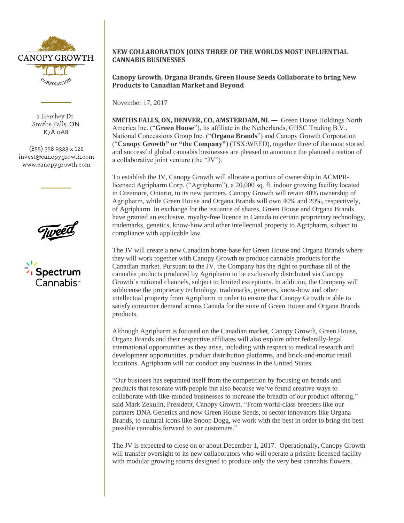

1 Hershey Dr. Smiths Falls, ON K7A 0A8

 $(855)$  558 9333 x 122 invest@canopygrowth.com www.canopygrowth.com

Tweed

**7** Spectrum Cannabis<sup>.</sup>

## **NEW COLLABORATION JOINS THREE OF THE WORLDS MOST INFLUENTIAL CANNABIS BUSINESSES**

# **Canopy Growth, Organa Brands, Green House Seeds Collaborate to bring New Products to Canadian Market and Beyond**

November 17, 2017

**SMITHS FALLS, ON, DENVER, CO, AMSTERDAM, NL —** Green House Holdings North America Inc. ("**Green House**"), its affiliate in the Netherlands, GHSC Trading B.V., National Concessions Group Inc. ("**Organa Brands**") and Canopy Growth Corporation ("**Canopy Growth" or "the Company"**) (TSX:WEED), together three of the most storied and successful global cannabis businesses are pleased to announce the planned creation of a collaborative joint venture (the "JV").

To establish the JV, Canopy Growth will allocate a portion of ownership in ACMPRlicensed Agripharm Corp. ("Agripharm"), a 20,000 sq. ft. indoor growing facility located in Creemore, Ontario, to its new partners. Canopy Growth will retain 40% ownership of Agripharm, while Green House and Organa Brands will own 40% and 20%, respectively, of Agripharm. In exchange for the issuance of shares, Green House and Organa Brands have granted an exclusive, royalty-free licence in Canada to certain proprietary technology, trademarks, genetics, know-how and other intellectual property to Agripharm, subject to compliance with applicable law.

The JV will create a new Canadian home-base for Green House and Organa Brands where they will work together with Canopy Growth to produce cannabis products for the Canadian market. Pursuant to the JV, the Company has the right to purchase all of the cannabis products produced by Agripharm to be exclusively distributed via Canopy Growth's national channels, subject to limited exceptions. In addition, the Company will sublicense the proprietary technology, trademarks, genetics, know-how and other intellectual property from Agripharm in order to ensure that Canopy Growth is able to satisfy consumer demand across Canada for the suite of Green House and Organa Brands products.

Although Agripharm is focused on the Canadian market, Canopy Growth, Green House, Organa Brands and their respective affiliates will also explore other federally-legal international opportunities as they arise, including with respect to medical research and development opportunities, product distribution platforms, and brick-and-mortar retail locations. Agripharm will not conduct any business in the United States.

"Our business has separated itself from the competition by focusing on brands and products that resonate with people but also because we've found creative ways to collaborate with like-minded businesses to increase the breadth of our product offering," said Mark Zekulin, President, Canopy Growth. "From world-class breeders like our partners DNA Genetics and now Green House Seeds, to sector innovators like Organa Brands, to cultural icons like Snoop Dogg, we work with the best in order to bring the best possible cannabis forward to our customers."

The JV is expected to close on or about December 1, 2017. Operationally, Canopy Growth will transfer oversight to its new collaborators who will operate a pristine licensed facility with modular growing rooms designed to produce only the very best cannabis flowers.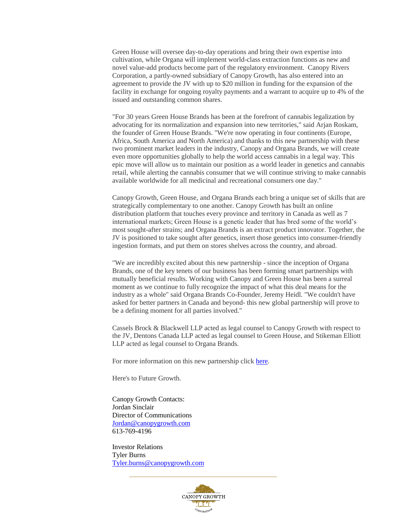Green House will oversee day-to-day operations and bring their own expertise into cultivation, while Organa will implement world-class extraction functions as new and novel value-add products become part of the regulatory environment. Canopy Rivers Corporation, a partly-owned subsidiary of Canopy Growth, has also entered into an agreement to provide the JV with up to \$20 million in funding for the expansion of the facility in exchange for ongoing royalty payments and a warrant to acquire up to 4% of the issued and outstanding common shares.

"For 30 years Green House Brands has been at the forefront of cannabis legalization by advocating for its normalization and expansion into new territories," said Arjan Roskam, the founder of Green House Brands. "We're now operating in four continents (Europe, Africa, South America and North America) and thanks to this new partnership with these two prominent market leaders in the industry, Canopy and Organa Brands, we will create even more opportunities globally to help the world access cannabis in a legal way. This epic move will allow us to maintain our position as a world leader in genetics and cannabis retail, while alerting the cannabis consumer that we will continue striving to make cannabis available worldwide for all medicinal and recreational consumers one day."

Canopy Growth, Green House, and Organa Brands each bring a unique set of skills that are strategically complementary to one another. Canopy Growth has built an online distribution platform that touches every province and territory in Canada as well as 7 international markets; Green House is a genetic leader that has bred some of the world's most sought-after strains; and Organa Brands is an extract product innovator. Together, the JV is positioned to take sought after genetics, insert those genetics into consumer-friendly ingestion formats, and put them on stores shelves across the country, and abroad.

"We are incredibly excited about this new partnership - since the inception of Organa Brands, one of the key tenets of our business has been forming smart partnerships with mutually beneficial results. Working with Canopy and Green House has been a surreal moment as we continue to fully recognize the impact of what this deal means for the industry as a whole" said Organa Brands Co-Founder, Jeremy Heidl. "We couldn't have asked for better partners in Canada and beyond- this new global partnership will prove to be a defining moment for all parties involved."

Cassels Brock & Blackwell LLP acted as legal counsel to Canopy Growth with respect to the JV, Dentons Canada LLP acted as legal counsel to Green House, and Stikeman Elliott LLP acted as legal counsel to Organa Brands.

For more information on this new partnership clic[k here.](https://cdn.shopify.com/s/files/1/0994/1238/files/Partnership_Media_Kit.pdf?232477664035609571)

Here's to Future Growth.

Canopy Growth Contacts: Jordan Sinclair Director of Communications [Jordan@canopygrowth.com](mailto:Jordan@canopygrowth.com) 613-769-4196

Investor Relations Tyler Burns [Tyler.burns@canopygrowth.com](mailto:Tyler.burns@canopygrowth.com)

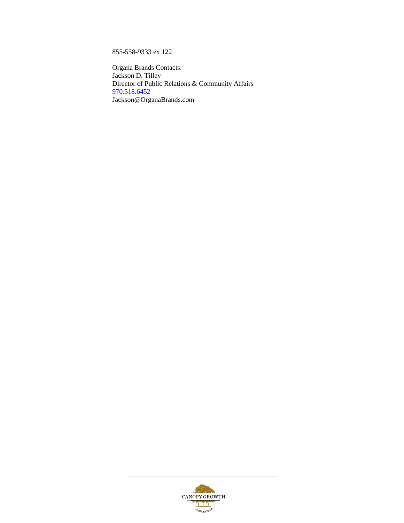855-558-9333 ex 122

Organa Brands Contacts: Jackson D. Tilley Director of Public Relations & Community Affairs [970.518.6452](tel:(970)%20518-6452) Jackson@OrganaBrands.com